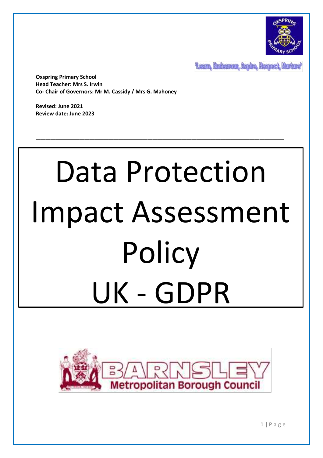

Leam, Endeavour, Aspire, Respect, Nurture

**Oxspring Primary School Head Teacher: Mrs S. Irwin Co- Chair of Governors: Mr M. Cassidy / Mrs G. Mahoney**

**Revised: June 2021 Review date: June 2023**

# Data Protection Impact Assessment **Policy** UK - GDPR

\_\_\_\_\_\_\_\_\_\_\_\_\_\_\_\_\_\_\_\_\_\_\_\_\_\_\_\_\_\_\_\_\_\_\_\_\_\_\_\_\_\_\_\_\_\_\_\_\_\_\_

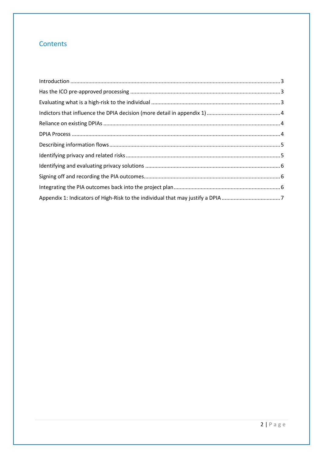## Contents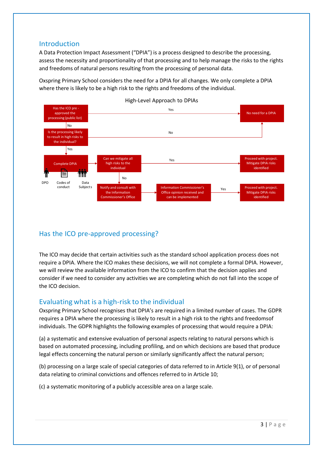## <span id="page-2-0"></span>Introduction

A Data Protection Impact Assessment ("DPIA") is a process designed to describe the processing, assess the necessity and proportionality of that processing and to help manage the risks to the rights and freedoms of natural persons resulting from the processing of personal data.

Oxspring Primary School considers the need for a DPIA for all changes. We only complete a DPIA where there is likely to be a high risk to the rights and freedoms of the individual.



<span id="page-2-1"></span>Has the ICO pre-approved processing?

The ICO may decide that certain activities such as the standard school application process does not require a DPIA. Where the ICO makes these decisions, we will not complete a formal DPIA. However, we will review the available information from the ICO to confirm that the decision applies and consider if we need to consider any activities we are completing which do not fall into the scope of the ICO decision.

## <span id="page-2-2"></span>Evaluating what is a high-risk to the individual

Oxspring Primary School recognises that DPIA's are required in a limited number of cases. The GDPR requires a DPIA where the processing is likely to result in a high risk to the rights and freedomsof individuals. The GDPR highlights the following examples of processing that would require a DPIA:

(a) a systematic and extensive evaluation of personal aspects relating to natural persons which is based on automated processing, including profiling, and on which decisions are based that produce legal effects concerning the natural person or similarly significantly affect the natural person;

(b) processing on a large scale of special categories of data referred to in Article 9(1), or of personal data relating to criminal convictions and offences referred to in Article 10;

(c) a systematic monitoring of a publicly accessible area on a large scale.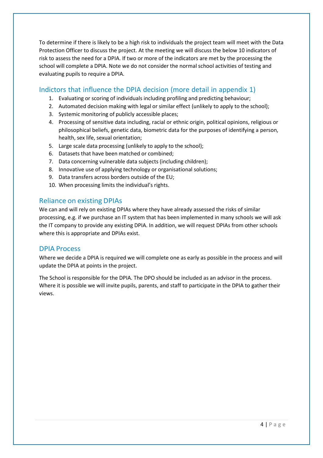To determine if there is likely to be a high risk to individuals the project team will meet with the Data Protection Officer to discuss the project. At the meeting we will discuss the below 10 indicators of risk to assess the need for a DPIA. If two or more of the indicators are met by the processing the school will complete a DPIA. Note we do not consider the normal school activities of testing and evaluating pupils to require a DPIA.

## <span id="page-3-0"></span>Indictors that influence the DPIA decision (more detail in appendix 1)

- 1. Evaluating or scoring of individuals including profiling and predicting behaviour;
- 2. Automated decision making with legal or similar effect (unlikely to apply to the school);
- 3. Systemic monitoring of publicly accessible places;
- 4. Processing of sensitive data including, racial or ethnic origin, political opinions, religious or philosophical beliefs, genetic data, biometric data for the purposes of identifying a person, health, sex life, sexual orientation;
- 5. Large scale data processing (unlikely to apply to the school);
- 6. Datasets that have been matched or combined;
- 7. Data concerning vulnerable data subjects (including children);
- 8. Innovative use of applying technology or organisational solutions;
- 9. Data transfers across borders outside of the EU;
- 10. When processing limits the individual's rights.

## <span id="page-3-1"></span>Reliance on existing DPIAs

We can and will rely on existing DPIAs where they have already assessed the risks of similar processing, e.g. if we purchase an IT system that has been implemented in many schools we will ask the IT company to provide any existing DPIA. In addition, we will request DPIAs from other schools where this is appropriate and DPIAs exist.

## <span id="page-3-2"></span>DPIA Process

Where we decide a DPIA is required we will complete one as early as possible in the process and will update the DPIA at points in the project.

The School is responsible for the DPIA. The DPO should be included as an advisor in the process. Where it is possible we will invite pupils, parents, and staff to participate in the DPIA to gather their views.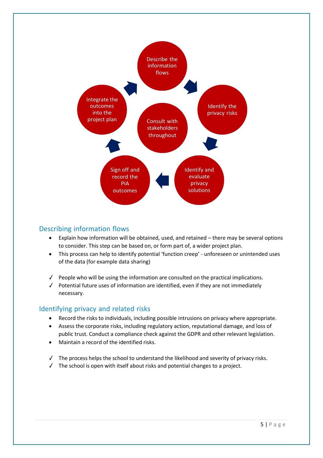

#### <span id="page-4-0"></span>Describing information flows

- Explain how information will be obtained, used, and retained there may be several options to consider. This step can be based on, or form part of, a wider project plan.
- This process can help to identify potential 'function creep' unforeseen or unintended uses of the data (for example data sharing)
- ✓ People who will be using the information are consulted on the practical implications.
- ✓ Potential future uses of information are identified, even if they are not immediately necessary.

#### <span id="page-4-1"></span>Identifying privacy and related risks

- Record the risks to individuals, including possible intrusions on privacy where appropriate.
- Assess the corporate risks, including regulatory action, reputational damage, and loss of public trust. Conduct a compliance check against the GDPR and other relevant legislation.
- Maintain a record of the identified risks.
- ✓ The process helps the school to understand the likelihood and severity of privacy risks.
- ✓ The school is open with itself about risks and potential changes to a project.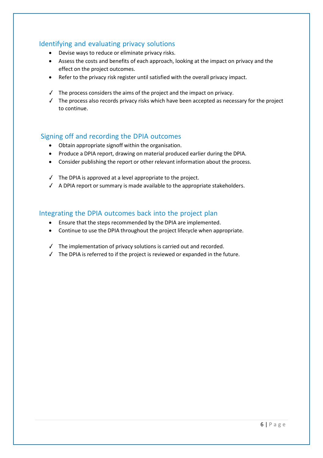## <span id="page-5-0"></span>Identifying and evaluating privacy solutions

- Devise ways to reduce or eliminate privacy risks.
- Assess the costs and benefits of each approach, looking at the impact on privacy and the effect on the project outcomes.
- Refer to the privacy risk register until satisfied with the overall privacy impact.
- $\checkmark$  The process considers the aims of the project and the impact on privacy.
- ✓ The process also records privacy risks which have been accepted as necessary for the project to continue.

### <span id="page-5-1"></span>Signing off and recording the DPIA outcomes

- Obtain appropriate signoff within the organisation.
- Produce a DPIA report, drawing on material produced earlier during the DPIA.
- Consider publishing the report or other relevant information about the process.
- ✓ The DPIA is approved at a level appropriate to the project.
- ✓ A DPIA report or summary is made available to the appropriate stakeholders.

#### Integrating the DPIA outcomes back into the project plan

- Ensure that the steps recommended by the DPIA are implemented.
- Continue to use the DPIA throughout the project lifecycle when appropriate.
- ✓ The implementation of privacy solutions is carried out and recorded.
- $\checkmark$  The DPIA is referred to if the project is reviewed or expanded in the future.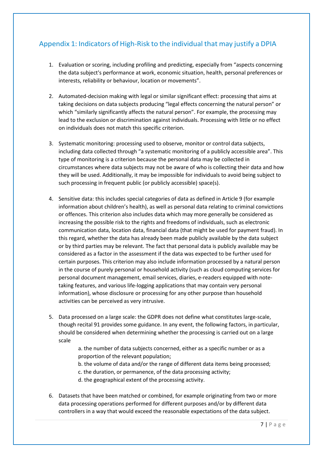# <span id="page-6-0"></span>Appendix 1: Indicators of High-Risk to the individual that may justify a DPIA

- 1. Evaluation or scoring, including profiling and predicting, especially from "aspects concerning the data subject's performance at work, economic situation, health, personal preferences or interests, reliability or behaviour, location or movements".
- 2. Automated-decision making with legal or similar significant effect: processing that aims at taking decisions on data subjects producing "legal effects concerning the natural person" or which "similarly significantly affects the natural person". For example, the processing may lead to the exclusion or discrimination against individuals. Processing with little or no effect on individuals does not match this specific criterion.
- 3. Systematic monitoring: processing used to observe, monitor or control data subjects, including data collected through "a systematic monitoring of a publicly accessible area". This type of monitoring is a criterion because the personal data may be collected in circumstances where data subjects may not be aware of who is collecting their data and how they will be used. Additionally, it may be impossible for individuals to avoid being subject to such processing in frequent public (or publicly accessible) space(s).
- 4. Sensitive data: this includes special categories of data as defined in Article 9 (for example information about children's health), as well as personal data relating to criminal convictions or offences. This criterion also includes data which may more generally be considered as increasing the possible risk to the rights and freedoms of individuals, such as electronic communication data, location data, financial data (that might be used for payment fraud). In this regard, whether the data has already been made publicly available by the data subject or by third parties may be relevant. The fact that personal data is publicly available may be considered as a factor in the assessment if the data was expected to be further used for certain purposes. This criterion may also include information processed by a natural person in the course of purely personal or household activity (such as cloud computing services for personal document management, email services, diaries, e-readers equipped with notetaking features, and various life-logging applications that may contain very personal information), whose disclosure or processing for any other purpose than household activities can be perceived as very intrusive.
- 5. Data processed on a large scale: the GDPR does not define what constitutes large-scale, though recital 91 provides some guidance. In any event, the following factors, in particular, should be considered when determining whether the processing is carried out on a large scale
	- a. the number of data subjects concerned, either as a specific number or as a proportion of the relevant population;
	- b. the volume of data and/or the range of different data items being processed;
	- c. the duration, or permanence, of the data processing activity;
	- d. the geographical extent of the processing activity.
- 6. Datasets that have been matched or combined, for example originating from two or more data processing operations performed for different purposes and/or by different data controllers in a way that would exceed the reasonable expectations of the data subject.